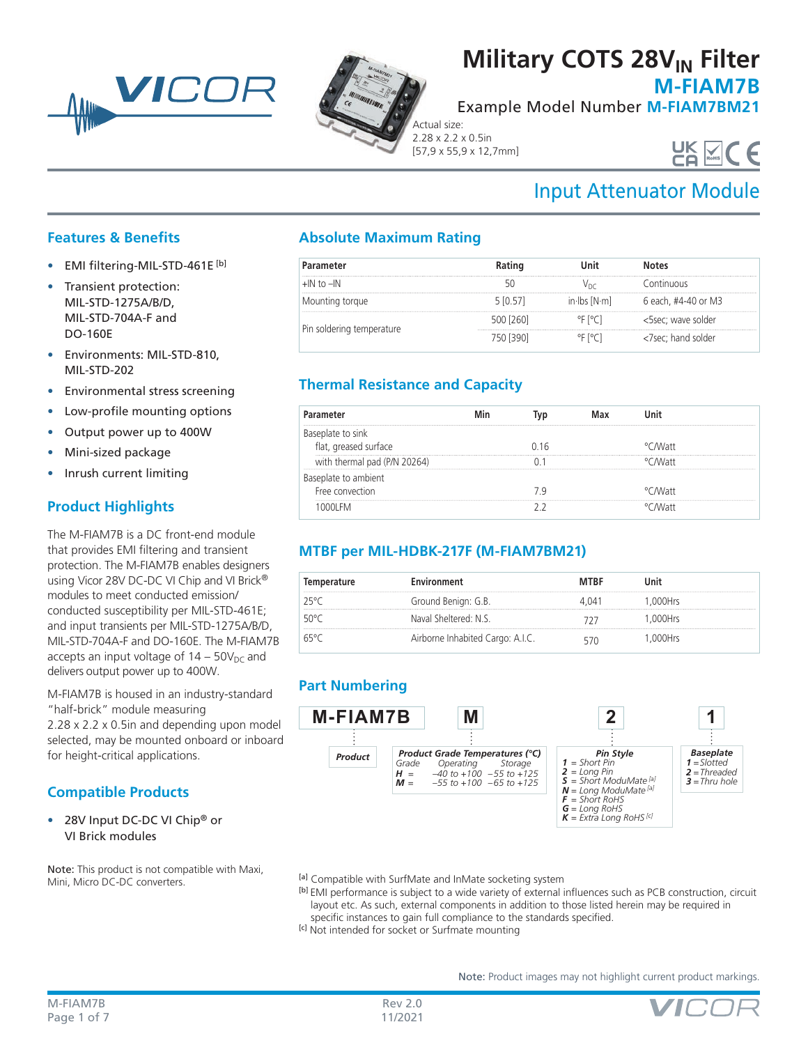



## **Military COTS 28V<sub>IN</sub> Filter**

**M-FIAM7B**

Example Model Number **M-FIAM7BM21**

Actual size: 2.28 x 2.2 x 0.5in [57,9 x 55,9 x 12,7mm]

# UK VCC

## Input Attenuator Module

### **Features & Benefits**

- EMI filtering-MIL-STD-461E [b]
- Transient protection: MIL-STD-1275A/B/D, MIL-STD-704A-F and DO-160E
- Environments: MIL-STD-810, MIL-STD-202
- Environmental stress screening
- Low-profile mounting options
- Output power up to 400W
- Mini-sized package
- Inrush current limiting

## **Product Highlights**

The M-FIAM7B is a DC front-end module that provides EMI filtering and transient protection. The M-FIAM7B enables designers using Vicor 28V DC-DC VI Chip and VI Brick® modules to meet conducted emission/ conducted susceptibility per MIL-STD-461E; and input transients per MIL-STD-1275A/B/D, MIL-STD-704A-F and DO-160E. The M-FIAM7B accepts an input voltage of  $14 - 50V_{DC}$  and delivers output power up to 400W.

M-FIAM7B is housed in an industry-standard "half-brick" module measuring 2.28 x 2.2 x 0.5in and depending upon model

selected, may be mounted onboard or inboard for height-critical applications.

## **Compatible Products**

• 28V Input DC-DC VI Chip<sup>®</sup> or VI Brick modules

Note: This product is not compatible with Maxi, Mini, Micro DC-DC converters.

## **Absolute Maximum Rating**

| Parameter                 | Rating    | Unit                                            | Notes               |
|---------------------------|-----------|-------------------------------------------------|---------------------|
| $+$ IN to $-$ IN          |           |                                                 | ontinuous           |
| Mounting torque           | 5 [0.57]  | in $\mathsf{lbs}$ $\mathsf{N} \cdot \mathsf{m}$ | 6 each, #4-40 or M3 |
| Pin soldering temperature | 500 [260] | °F [°C]                                         | <5sec; wave solder  |
|                           |           | at l∘C⊥.                                        | <7sec; hand solder  |

## **Thermal Resistance and Capacity**

| 11 <sub>6</sub> |          |  |
|-----------------|----------|--|
|                 |          |  |
|                 |          |  |
|                 | °C M∕att |  |
|                 |          |  |
|                 |          |  |

## **MTBF per MIL-HDBK-217F (M-FIAM7BM21)**

| Temperature | Environment                      | <b>MTRF</b> | Init    |
|-------------|----------------------------------|-------------|---------|
| 25°C        | Ground Benign: G.B.              | 4 ()41      | 000Hrs  |
| 50°C        | Naval Sheltered: N.S.            |             | .000Hrs |
| 65°C        | Airborne Inhabited Cargo: A.I.C. |             | .000Hrs |

## **Part Numbering**



[a] Compatible with SurfMate and InMate socketing system

- [b] EMI performance is subject to a wide variety of external influences such as PCB construction, circuit layout etc. As such, external components in addition to those listed herein may be required in specific instances to gain full compliance to the standards specified.
- [c] Not intended for socket or Surfmate mounting

Note: Product images may not highlight current product markings.

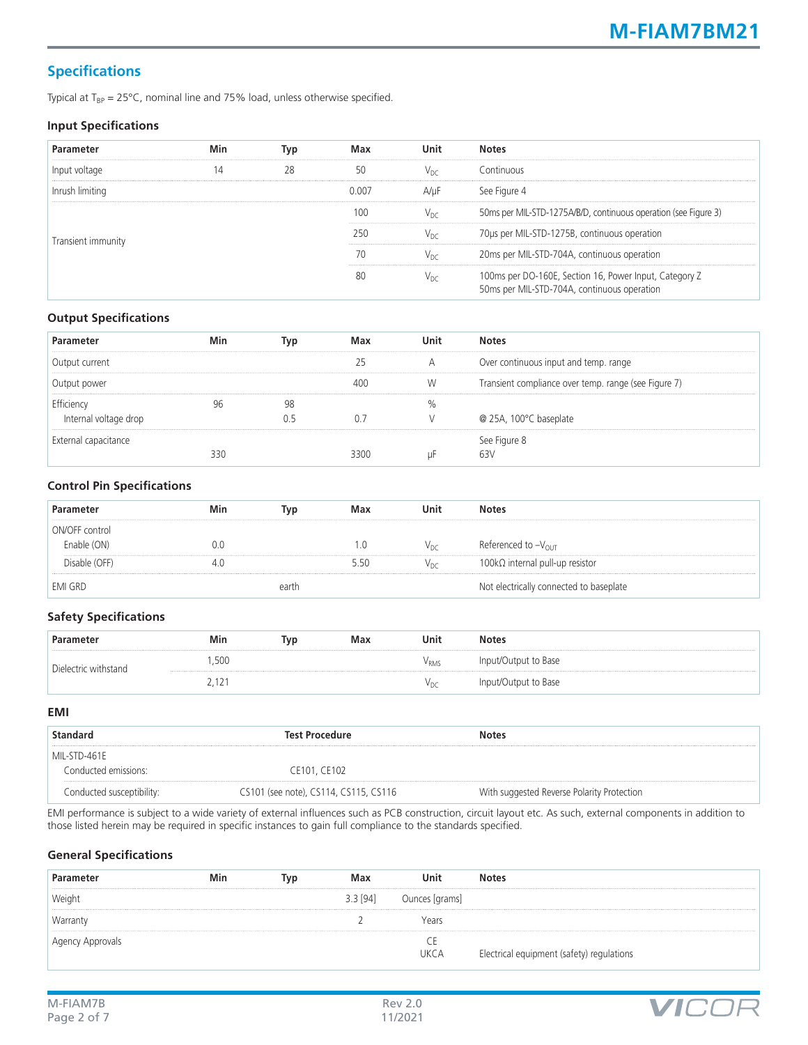## **Specifications**

Typical at  $T_{BP} = 25^{\circ}C$ , nominal line and 75% load, unless otherwise specified.

#### **Input Specifications**

| Parameter          | Min | Typ | Max   | Unit            | <b>Notes</b>                                                                                          |
|--------------------|-----|-----|-------|-----------------|-------------------------------------------------------------------------------------------------------|
| Input voltage      | 14  | 28  | 50    | $V_{\text{DC}}$ | Continuous                                                                                            |
| Inrush limiting    |     |     | 0.007 | A/uF            | See Figure 4                                                                                          |
|                    |     |     | 100   | $V_{\text{DC}}$ | 50ms per MIL-STD-1275A/B/D, continuous operation (see Figure 3)                                       |
| Transient immunity |     |     | 250   | V <sub>nc</sub> | 70us per MIL-STD-1275B, continuous operation                                                          |
|                    |     |     | 70    | $V_{\text{DC}}$ | 20ms per MIL-STD-704A, continuous operation                                                           |
|                    |     |     | 80    | $V_{DC}$        | 100ms per DO-160E, Section 16, Power Input, Category Z<br>50ms per MIL-STD-704A, continuous operation |

#### **Output Specifications**

| Parameter             | Min | Tvo | Max  | Unit | <b>Notes</b>                                         |
|-----------------------|-----|-----|------|------|------------------------------------------------------|
| Output current        |     |     |      | А    | Over continuous input and temp. range                |
| Output power          |     |     | 4ሰር  | W    | Transient compliance over temp. range (see Figure 7) |
| Efficiency            |     | 98  |      |      |                                                      |
| Internal voltage drop |     |     | U. / |      | @ 25A, 100°C baseplate                               |
| External capacitance  |     |     |      |      | See Figure 8                                         |
|                       | 330 |     |      |      | 63)                                                  |

#### **Control Pin Specifications**

| Parameter      | Min | Tvp   | Max | Unit            | <b>Notes</b>                            |
|----------------|-----|-------|-----|-----------------|-----------------------------------------|
| ON/OFF control |     |       |     |                 |                                         |
| Enable (ON)    | 0.0 |       |     | $V_{DC}$        | Referenced to $-V_{OUT}$                |
| Disable (OFF)  |     |       | 5() | $V_{\text{DC}}$ | 100kΩ internal pull-up resistor         |
| <b>EMI GRD</b> |     | earth |     |                 | Not electrically connected to baseplate |

#### **Safety Specifications**

| Parameter            | Min   | Tvr | Max | Unit          | <b>Notes</b>         |
|----------------------|-------|-----|-----|---------------|----------------------|
| Dielectric withstand | ,500  |     |     | $\rm V_{RMS}$ | Input/Output to Base |
|                      | 2,12° |     |     | $V_{DC}$      | Input/Output to Base |

#### **EMI**

| <b>Standard</b>           | <b>Test Procedure</b>                 | <b>Notes</b>                               |
|---------------------------|---------------------------------------|--------------------------------------------|
| MIL-STD-461E              |                                       |                                            |
| Conducted emissions:      | CE101, CE102                          |                                            |
| Conducted susceptibility: | CS101 (see note), CS114, CS115, CS116 | With suggested Reverse Polarity Protection |

EMI performance is subject to a wide variety of external influences such as PCB construction, circuit layout etc. As such, external components in addition to those listed herein may be required in specific instances to gain full compliance to the standards specified.

#### **General Specifications**

| Parameter        | Min | Tvp | Max        | Unit               | <b>Notes</b>                              |
|------------------|-----|-----|------------|--------------------|-------------------------------------------|
| Weight           |     |     | $3.3$ [94] | Ounces [grams]     |                                           |
| Warranty         |     |     |            | Years              |                                           |
| Agency Approvals |     |     |            | . .<br><b>UKCA</b> | Electrical equipment (safety) regulations |

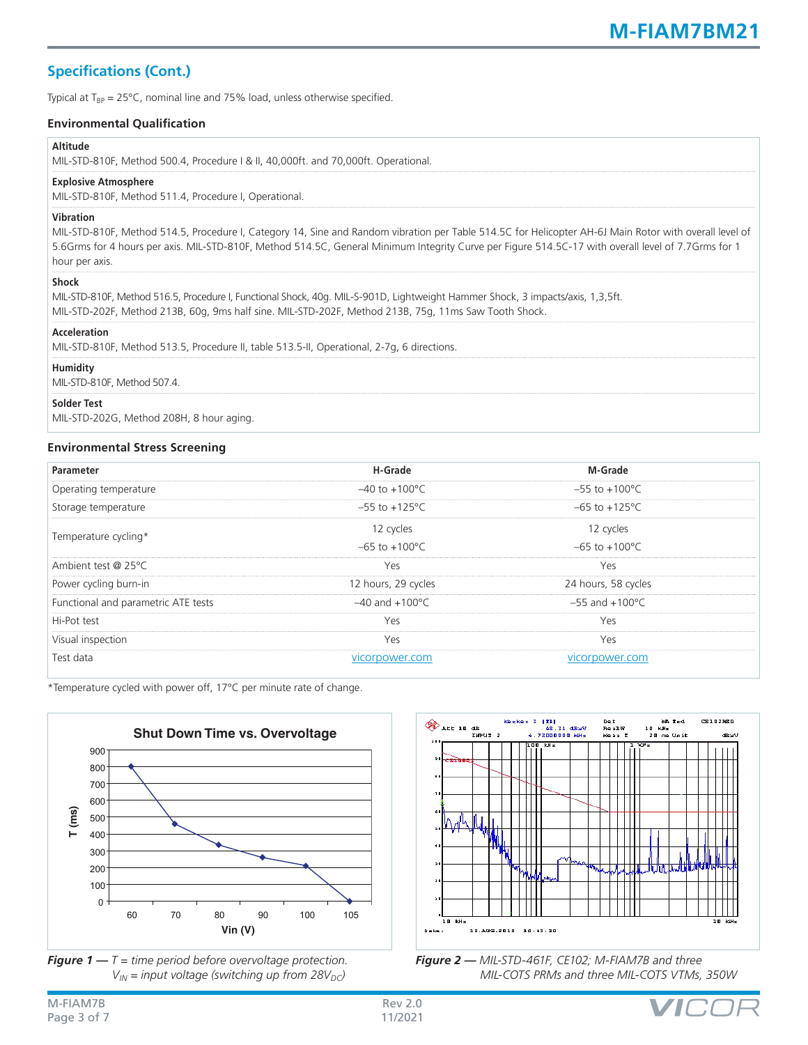## **Specifications (Cont.)**

Typical at  $T_{BP} = 25^{\circ}$ C, nominal line and 75% load, unless otherwise specified.

#### **Environmental Qualification**

#### **Altitude**

MIL-STD-810F, Method 500.4, Procedure I & II, 40,000ft. and 70,000ft. Operational.

#### **Explosive Atmosphere**

MIL-STD-810F, Method 511.4, Procedure I, Operational.

#### **Vibration**

MIL-STD-810F, Method 514.5, Procedure I, Category 14, Sine and Random vibration per Table 514.5C for Helicopter AH-6J Main Rotor with overall level of 5.6Grms for 4 hours per axis. MIL-STD-810F, Method 514.5C, General Minimum Integrity Curve per Figure 514.5C-17 with overall level of 7.7Grms for 1 hour per axis.

#### **Shock**

| MIL-STD-810F, Method 516.5, Procedure I, Functional Shock, 40q. MIL-S-901D, Lightweight Hammer Shock, 3 impacts/axis, 1,3,5ft. |
|--------------------------------------------------------------------------------------------------------------------------------|
| MIL-STD-202F, Method 213B, 60g, 9ms half sine. MIL-STD-202F, Method 213B, 75g, 11ms Saw Tooth Shock.                           |
|                                                                                                                                |

#### **Acceleration**

MIL-STD-810F, Method 513.5, Procedure II, table 513.5-II, Operational, 2-7g, 6 directions.

#### **Humidity**

MIL-STD-810F, Method 507.4.

#### **Solder Test**

MIL-STD-202G, Method 208H, 8 hour aging.

#### **Environmental Stress Screening**

| Parameter                           | H-Grade                    | M-Grade                    |  |
|-------------------------------------|----------------------------|----------------------------|--|
| Operating temperature               | $-40$ to $+100^{\circ}$ C  | $-55$ to $+100^{\circ}$ C  |  |
| Storage temperature                 | $-55$ to $+125^{\circ}$ C  | $-65$ to $+125^{\circ}$ C  |  |
| Temperature cycling*                | 12 cycles                  | 12 cycles                  |  |
|                                     | $-65$ to $+100^{\circ}$ C  | $-65$ to $+100^{\circ}$ C  |  |
| Ambient test @ 25°C                 | Yes                        | Yes                        |  |
| Power cycling burn-in               | 12 hours, 29 cycles        | 24 hours, 58 cycles        |  |
| Functional and parametric ATE tests | $-40$ and $+100^{\circ}$ C | $-55$ and $+100^{\circ}$ C |  |
| Hi-Pot test                         | Yes                        | Yes                        |  |
| Visual inspection                   | Yes                        | Yes                        |  |
| Test data                           | vicorpower.com             | vicorpower.com             |  |

\*Temperature cycled with power off, 17°C per minute rate of change.







*Figure 2 — MIL-STD-461F, CE102; M-FIAM7B and three MIL-COTS PRMs and three MIL-COTS VTMs, 350W*

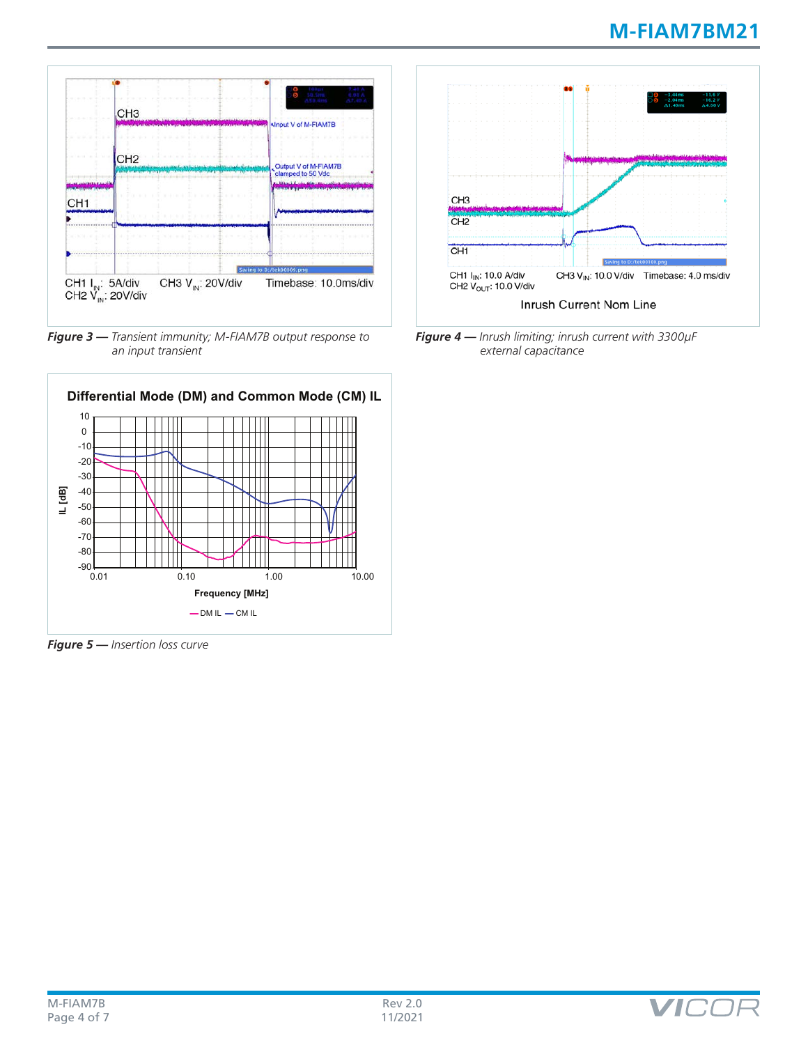

*Figure 3 — Transient immunity; M-FIAM7B output response to an input transient*



*Figure 5 — Insertion loss curve*



*Figure 4 — Inrush limiting; inrush current with 3300µF external capacitance*

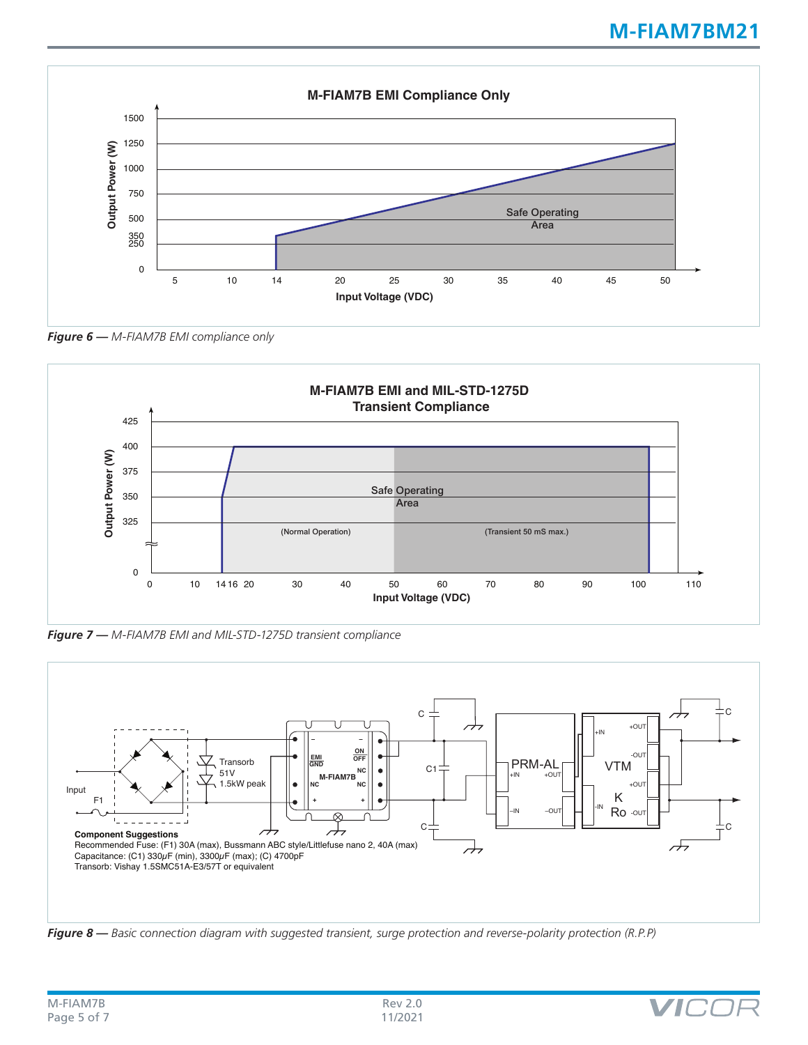

*Figure 6 — M-FIAM7B EMI compliance only* 



*Figure 7 — M-FIAM7B EMI and MIL-STD-1275D transient compliance* 



*Figure 8 — Basic connection diagram with suggested transient, surge protection and reverse-polarity protection (R.P.P)*

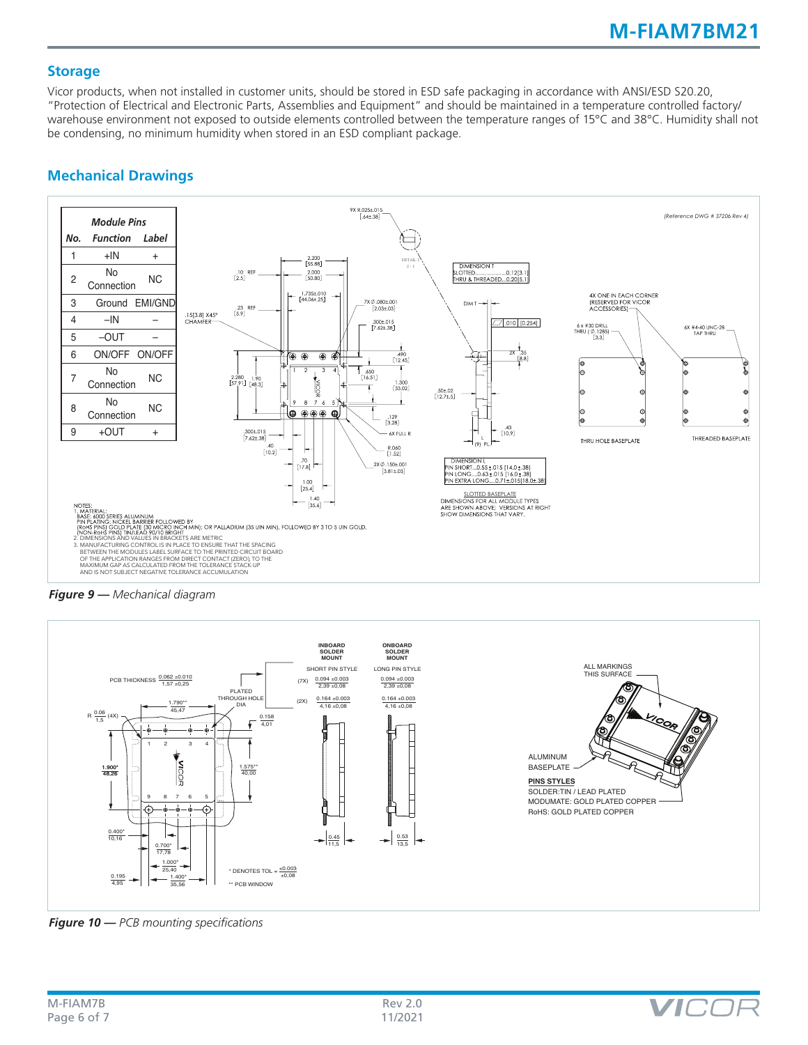#### **Storage**

Vicor products, when not installed in customer units, should be stored in ESD safe packaging in accordance with ANSI/ESD S20.20, "Protection of Electrical and Electronic Parts, Assemblies and Equipment" and should be maintained in a temperature controlled factory/ warehouse environment not exposed to outside elements controlled between the temperature ranges of 15°C and 38°C. Humidity shall not be condensing, no minimum humidity when stored in an ESD compliant package.



### **Mechanical Drawings**

*Figure 9 — Mechanical diagram*



*Figure 10 — PCB mounting specifications*